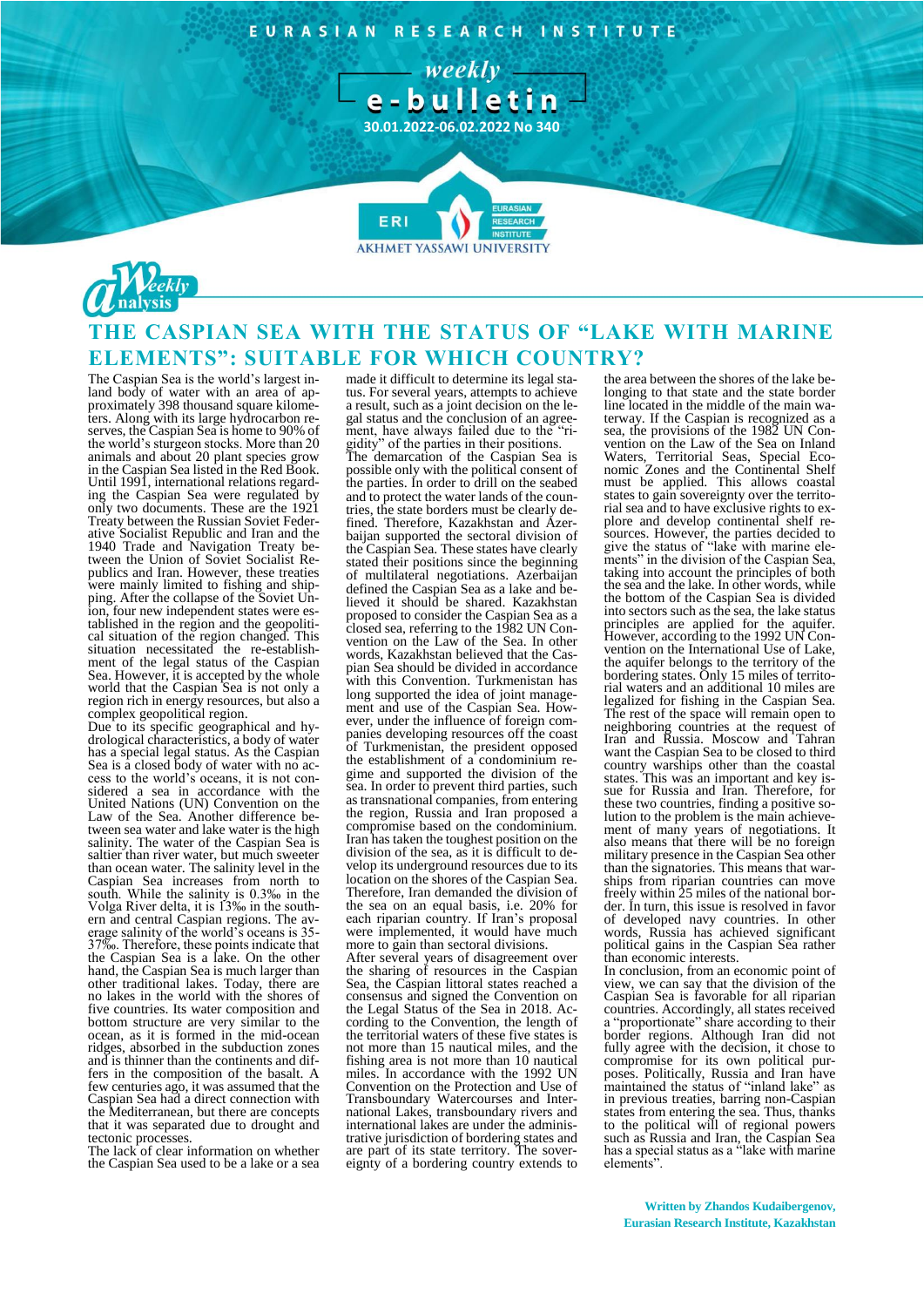EURASIAN RESEARCH INSTITUTE

- weekly e-bulletin

**30.01.2022-06.02.2022 No 340**





## **THE CASPIAN SEA WITH THE STATUS OF "LAKE WITH MARINE ELEMENTS": SUITABLE FOR WHICH COUNTRY?**

The Caspian Sea is the world's largest inland body of water with an area of approximately 398 thousand square kilometers. Along with its large hydrocarbon reserves, the Caspian Sea is home to 90% of the world's sturgeon stocks. More than 20 animals and about 20 plant species grow in the Caspian Sea listed in the Red Book. Until 1991, international relations regarding the Caspian Sea were regulated by only two documents. These are the 1921 Treaty between the Russian Soviet Federative Socialist Republic and Iran and the 1940 Trade and Navigation Treaty between the Union of Soviet Socialist Republics and Iran. However, these treaties were mainly limited to fishing and shipping. After the collapse of the Soviet Union, four new independent states were established in the region and the geopolitical situation of the region changed. This situation necessitated the re-establishment of the legal status of the Caspian Sea. However, it is accepted by the whole world that the Caspian Sea is not only a region rich in energy resources, but also a complex geopolitical region.

Due to its specific geographical and hydrological characteristics, a body of water has a special legal status. As the Caspian Sea is a closed body of water with no access to the world's oceans, it is not considered a sea in accordance with the United Nations (UN) Convention on the Law of the Sea. Another difference between sea water and lake water is the high salinity. The water of the Caspian Sea is saltier than river water, but much sweeter than ocean water. The salinity level in the Caspian Sea increases from north to south. While the salinity is 0.3‰ in the Volga River delta, it is 13‰ in the southern and central Caspian regions. The average salinity of the world's oceans is 35- 37‰. Therefore, these points indicate that the Caspian Sea is a lake. On the other hand, the Caspian Sea is much larger than other traditional lakes. Today, there are no lakes in the world with the shores of five countries. Its water composition and bottom structure are very similar to the ocean, as it is formed in the mid-ocean ridges, absorbed in the subduction zones and is thinner than the continents and differs in the composition of the basalt. A few centuries ago, it was assumed that the Caspian Sea had a direct connection with the Mediterranean, but there are concepts that it was separated due to drought and tectonic processes.

The lack of clear information on whether the Caspian Sea used to be a lake or a sea made it difficult to determine its legal status. For several years, attempts to achieve a result, such as a joint decision on the legal status and the conclusion of an agreement, have always failed due to the "rigidity" of the parties in their positions. The demarcation of the Caspian Sea is possible only with the political consent of the parties. In order to drill on the seabed and to protect the water lands of the countries, the state borders must be clearly defined. Therefore, Kazakhstan and Azerbaijan supported the sectoral division of the Caspian Sea. These states have clearly stated their positions since the beginning of multilateral negotiations. Azerbaijan defined the Caspian Sea as a lake and believed it should be shared. Kazakhstan proposed to consider the Caspian Sea as a closed sea, referring to the 1982 UN Convention on the Law of the Sea. In other words, Kazakhstan believed that the Caspian Sea should be divided in accordance with this Convention. Turkmenistan has long supported the idea of joint management and use of the Caspian Sea. However, under the influence of foreign companies developing resources off the coast of Turkmenistan, the president opposed the establishment of a condominium regime and supported the division of the sea. In order to prevent third parties, such as transnational companies, from entering the region, Russia and Iran proposed a compromise based on the condominium. Iran has taken the toughest position on the division of the sea, as it is difficult to develop its underground resources due to its location on the shores of the Caspian Sea. Therefore, Iran demanded the division of the sea on an equal basis, i.e. 20% for each riparian country. If Iran's proposal were implemented, it would have much more to gain than sectoral divisions. After several years of disagreement over the sharing of resources in the Caspian Sea, the Caspian littoral states reached a consensus and signed the Convention on the Legal Status of the Sea in 2018. According to the Convention, the length of the territorial waters of these five states is not more than 15 nautical miles, and the fishing area is not more than 10 nautical

miles. In accordance with the 1992 UN Convention on the Protection and Use of Transboundary Watercourses and International Lakes, transboundary rivers and international lakes are under the administrative jurisdiction of bordering states and are part of its state territory. The sovereignty of a bordering country extends to the area between the shores of the lake belonging to that state and the state border line located in the middle of the main waterway. If the Caspian is recognized as a sea, the provisions of the 1982 UN Convention on the Law of the Sea on Inland Waters, Territorial Seas, Special Economic Zones and the Continental Shelf must be applied. This allows coastal states to gain sovereignty over the territorial sea and to have exclusive rights to explore and develop continental shelf resources. However, the parties decided to give the status of "lake with marine elements" in the division of the Caspian Sea, taking into account the principles of both the sea and the lake. In other words, while the bottom of the Caspian Sea is divided into sectors such as the sea, the lake status principles are applied for the aquifer. However, according to the 1992 UN Convention on the International Use of Lake, the aquifer belongs to the territory of the bordering states. Only 15 miles of territorial waters and an additional 10 miles are legalized for fishing in the Caspian Sea. The rest of the space will remain open to neighboring countries at the request of Iran and Russia. Moscow and Tahran want the Caspian Sea to be closed to third country warships other than the coastal states. This was an important and key issue for Russia and Iran. Therefore, for these two countries, finding a positive solution to the problem is the main achievement of many years of negotiations. It also means that there will be no foreign military presence in the Caspian Sea other than the signatories. This means that warships from riparian countries can move freely within 25 miles of the national border. In turn, this issue is resolved in favor of developed navy countries. In other words, Russia has achieved significant political gains in the Caspian Sea rather than economic interests.

In conclusion, from an economic point of view, we can say that the division of the Caspian Sea is favorable for all riparian countries. Accordingly, all states received a "proportionate" share according to their border regions. Although Iran did not fully agree with the decision, it chose to compromise for its own political purposes. Politically, Russia and Iran have maintained the status of "inland lake" as in previous treaties, barring non-Caspian states from entering the sea. Thus, thanks to the political will of regional powers such as Russia and Iran, the Caspian Sea has a special status as a "lake with marine elements".

**Written by Zhandos Kudaibergenov, Eurasian Research Institute, Kazakhstan**